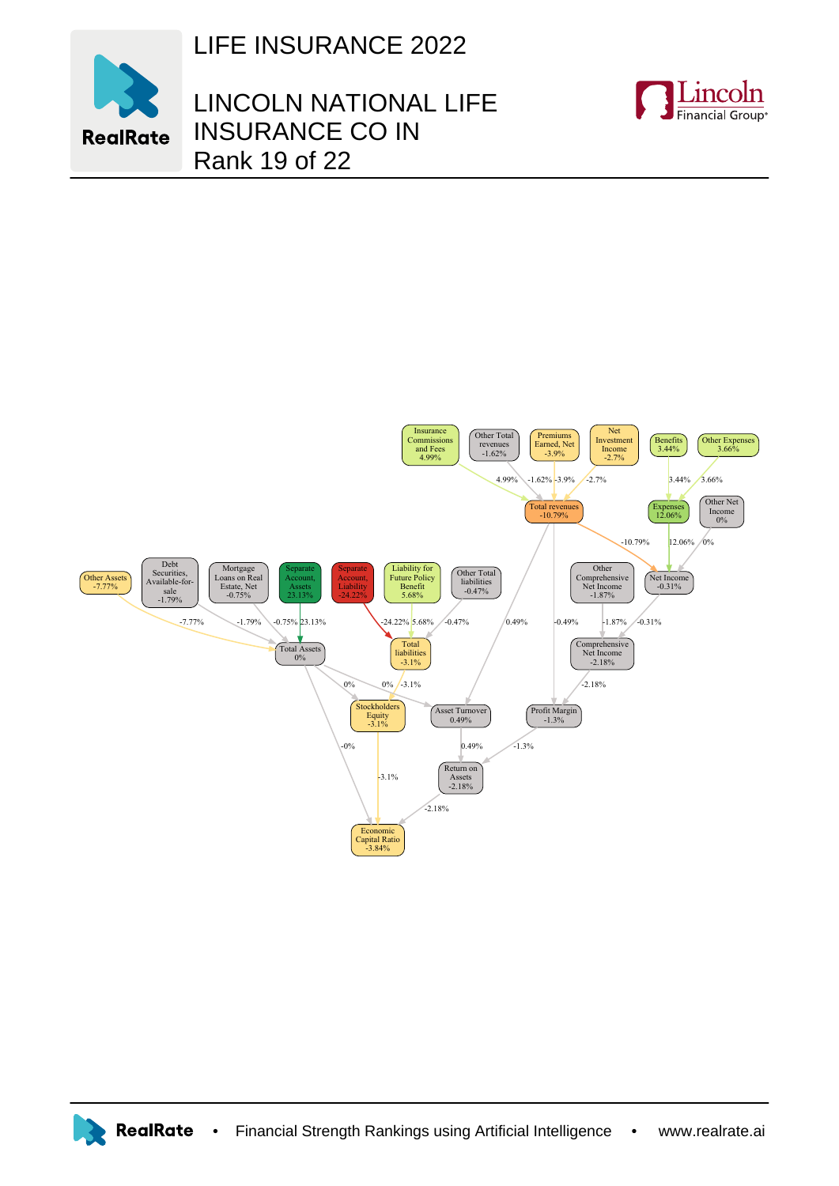LIFE INSURANCE 2022



## LINCOLN NATIONAL LIFE INSURANCE CO IN Rank 19 of 22